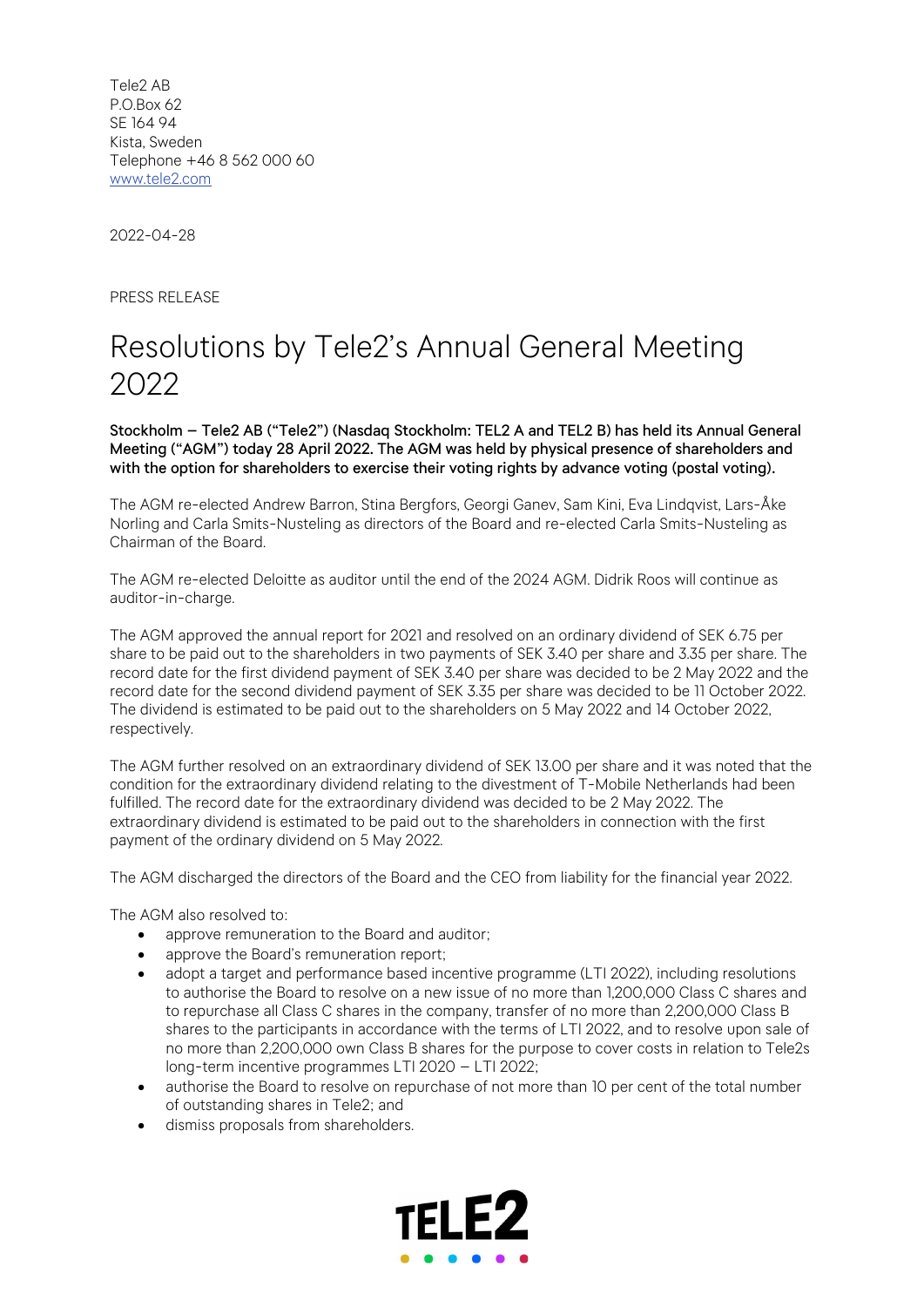Tele2 AB P.O.Box 62 SE 164 94 Kista, Sweden Telephone +46 8 562 000 60 www.tele2.com

2022-04-28

PRESS RELEASE

## Resolutions by Tele2's Annual General Meeting 2022

Stockholm – Tele2 AB ("Tele2") (Nasdaq Stockholm: TEL2 A and TEL2 B) has held its Annual General Meeting ("AGM") today 28 April 2022. The AGM was held by physical presence of shareholders and with the option for shareholders to exercise their voting rights by advance voting (postal voting).

The AGM re-elected Andrew Barron, Stina Bergfors, Georgi Ganev, Sam Kini, Eva Lindqvist, Lars-Åke Norling and Carla Smits-Nusteling as directors of the Board and re-elected Carla Smits-Nusteling as Chairman of the Board.

The AGM re-elected Deloitte as auditor until the end of the 2024 AGM. Didrik Roos will continue as auditor-in-charge.

The AGM approved the annual report for 2021 and resolved on an ordinary dividend of SEK 6.75 per share to be paid out to the shareholders in two payments of SEK 3.40 per share and 3.35 per share. The record date for the first dividend payment of SEK 3.40 per share was decided to be 2 May 2022 and the record date for the second dividend payment of SEK 3.35 per share was decided to be 11 October 2022. The dividend is estimated to be paid out to the shareholders on 5 May 2022 and 14 October 2022, respectively.

The AGM further resolved on an extraordinary dividend of SEK 13.00 per share and it was noted that the condition for the extraordinary dividend relating to the divestment of T-Mobile Netherlands had been fulfilled. The record date for the extraordinary dividend was decided to be 2 May 2022. The extraordinary dividend is estimated to be paid out to the shareholders in connection with the first payment of the ordinary dividend on 5 May 2022.

The AGM discharged the directors of the Board and the CEO from liability for the financial year 2022.

The AGM also resolved to:

- approve remuneration to the Board and auditor;
- approve the Board's remuneration report:
- adopt a target and performance based incentive programme (LTI 2022), including resolutions to authorise the Board to resolve on a new issue of no more than 1,200,000 Class C shares and to repurchase all Class C shares in the company, transfer of no more than 2,200,000 Class B shares to the participants in accordance with the terms of LTI 2022, and to resolve upon sale of no more than 2,200,000 own Class B shares for the purpose to cover costs in relation to Tele2s long-term incentive programmes LTI 2020 – LTI 2022;
- authorise the Board to resolve on repurchase of not more than 10 per cent of the total number of outstanding shares in Tele2; and
- dismiss proposals from shareholders.